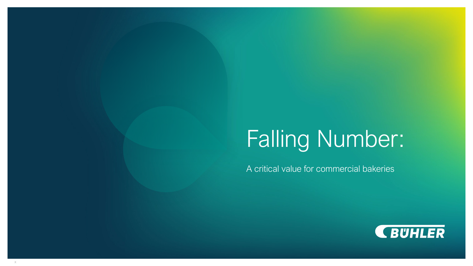# Falling Number:

A critical value for commercial bakeries

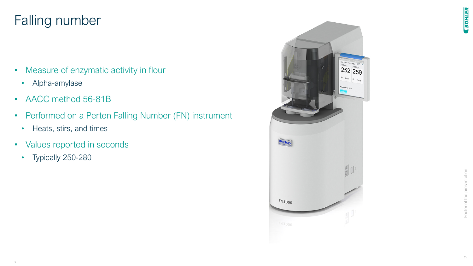# Falling number

- Measure of enzymatic activity in flour
	- Alpha-amylase
- AACC method 56-81B
- Performed on a Perten Falling Number (FN) instrument
	- Heats, stirs, and times
- Values reported in seconds
	- Typically 250-280

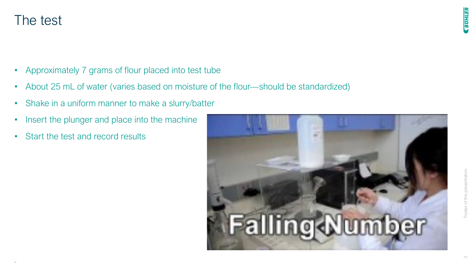## The test

- Approximately 7 grams of flour placed into test tube
- About 25 mL of water (varies based on moisture of the flour—should be standardized)
- Shake in a uniform manner to make a slurry/batter
- Insert the plunger and place into the machine
- Start the test and record results

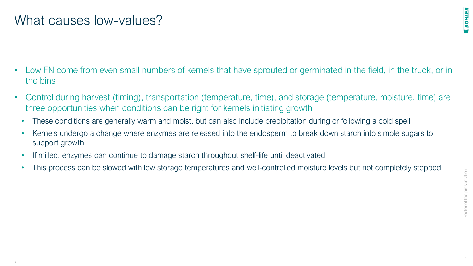#### What causes low-values?

**CBUHLER** 

- Low FN come from even small numbers of kernels that have sprouted or germinated in the field, in the truck, or in the bins
- Control during harvest (timing), transportation (temperature, time), and storage (temperature, moisture, time) are three opportunities when conditions can be right for kernels initiating growth
	- These conditions are generally warm and moist, but can also include precipitation during or following a cold spell
	- Kernels undergo a change where enzymes are released into the endosperm to break down starch into simple sugars to support growth
	- If milled, enzymes can continue to damage starch throughout shelf-life until deactivated
	- This process can be slowed with low storage temperatures and well-controlled moisture levels but not completely stopped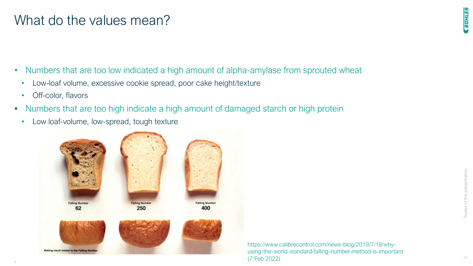#### What do the values mean?

- Numbers that are too low indicated a high amount of alpha-amylase from sprouted wheat
	- Low-loaf volume, excessive cookie spread, poor cake height/texture
	- Off-color, flavors
- Numbers that are too high indicate a high amount of damaged starch or high protein
	- Low loaf-volume, low-spread, tough texture



https://www.calibrecontrol.com/news-blog/2019/7/18/whyusing-the-world-standard-falling-number-method-is-important (7 Feb 2022)

**EUHLER**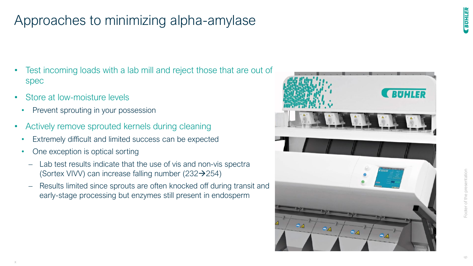# Approaches to minimizing alpha-amylase

- Test incoming loads with a lab mill and reject those that are out of spec
- Store at low-moisture levels
	- Prevent sprouting in your possession
- Actively remove sprouted kernels during cleaning
	- Extremely difficult and limited success can be expected
	- One exception is optical sorting
		- − Lab test results indicate that the use of vis and non-vis spectra (Sortex VIVV) can increase falling number  $(232 \rightarrow 254)$
		- − Results limited since sprouts are often knocked off during transit and early-stage processing but enzymes still present in endosperm



**EUHLER**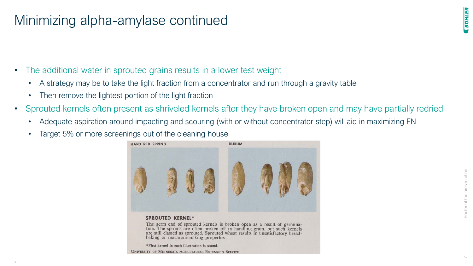# Minimizing alpha-amylase continued

- The additional water in sprouted grains results in a lower test weight
	- A strategy may be to take the light fraction from a concentrator and run through a gravity table
	- Then remove the lightest portion of the light fraction
- Sprouted kernels often present as shriveled kernels after they have broken open and may have partially redried
	- Adequate aspiration around impacting and scouring (with or without concentrator step) will aid in maximizing FN
	- Target 5% or more screenings out of the cleaning house



#### **SPROUTED KERNEL\***

The germ end of sprouted kernels is broken open as a result of germination. The sprouts are often broken off in handling grain, but such kernels are still classed as sprouted. Sprouted wheat results in unsatisfactory breadbaking or macaroni-making properties.

\*First kernel in each illustration is sound.

UNIVERSITY OF MINNESOTA AGRICULTURAL EXTENSION SERVICE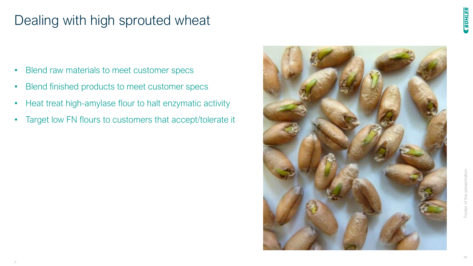# Dealing with high sprouted wheat

- Blend raw materials to meet customer specs
- Blend finished products to meet customer specs
- Heat treat high-amylase flour to halt enzymatic activity
- Target low FN flours to customers that accept/tolerate it



**CBUHLER**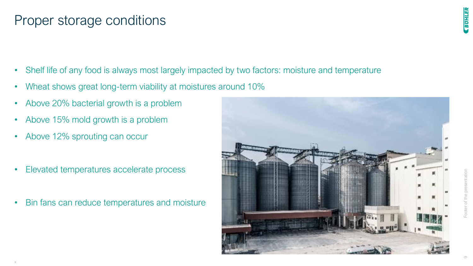#### Proper storage conditions

- Shelf life of any food is always most largely impacted by two factors: moisture and temperature
- Wheat shows great long-term viability at moistures around 10%
- Above 20% bacterial growth is a problem
- Above 15% mold growth is a problem
- Above 12% sprouting can occur
- Elevated temperatures accelerate process
- Bin fans can reduce temperatures and moisture

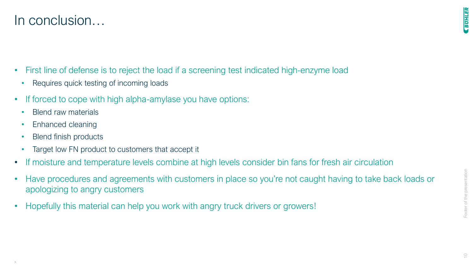$\overline{\smash{\bigcirc}}$ 

**EUHLER** 

#### In conclusion…

- First line of defense is to reject the load if a screening test indicated high-enzyme load
	- Requires quick testing of incoming loads
- If forced to cope with high alpha-amylase you have options:
	- Blend raw materials
	- Enhanced cleaning
	- Blend finish products
	- Target low FN product to customers that accept it
- If moisture and temperature levels combine at high levels consider bin fans for fresh air circulation
- Have procedures and agreements with customers in place so you're not caught having to take back loads or apologizing to angry customers
- Hopefully this material can help you work with angry truck drivers or growers!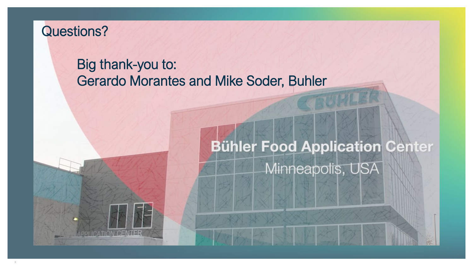### Questions?

# Big thank-you to: Gerardo Morantes and Mike Soder, Buhler

# **Bühler Food Application Center** Minneapolis, USA